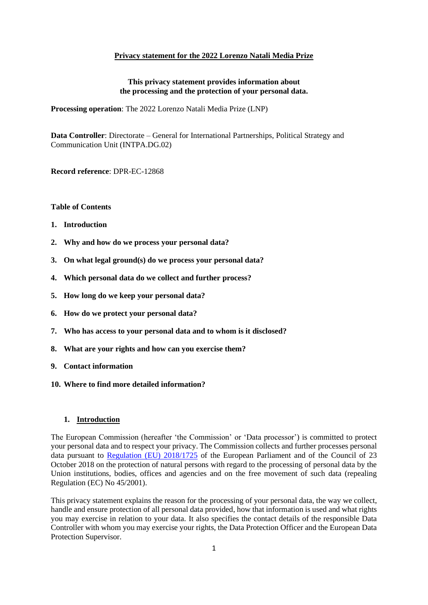### **Privacy statement for the 2022 Lorenzo Natali Media Prize**

### **This privacy statement provides information about the processing and the protection of your personal data.**

**Processing operation**: The 2022 Lorenzo Natali Media Prize (LNP)

**Data Controller**: Directorate – General for International Partnerships, Political Strategy and Communication Unit (INTPA.DG.02)

**Record reference**: DPR-EC-12868

#### **Table of Contents**

- **1. Introduction**
- **2. Why and how do we process your personal data?**
- **3. On what legal ground(s) do we process your personal data?**
- **4. Which personal data do we collect and further process?**
- **5. How long do we keep your personal data?**
- **6. How do we protect your personal data?**
- **7. Who has access to your personal data and to whom is it disclosed?**
- **8. What are your rights and how can you exercise them?**
- **9. Contact information**
- **10. Where to find more detailed information?**

### **1. Introduction**

The European Commission (hereafter 'the Commission' or 'Data processor') is committed to protect your personal data and to respect your privacy. The Commission collects and further processes personal data pursuant to [Regulation \(EU\) 2018/1725](https://eur-lex.europa.eu/legal-content/EN/TXT/?uri=CELEX%3A32018R1725) of the European Parliament and of the Council of 23 October 2018 on the protection of natural persons with regard to the processing of personal data by the Union institutions, bodies, offices and agencies and on the free movement of such data (repealing Regulation (EC) No 45/2001).

This privacy statement explains the reason for the processing of your personal data, the way we collect, handle and ensure protection of all personal data provided, how that information is used and what rights you may exercise in relation to your data. It also specifies the contact details of the responsible Data Controller with whom you may exercise your rights, the Data Protection Officer and the European Data Protection Supervisor.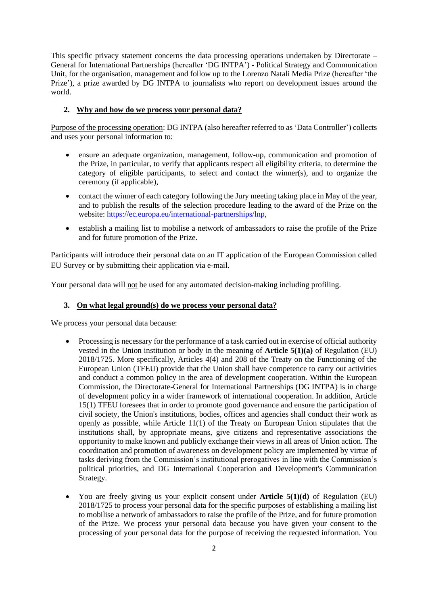This specific privacy statement concerns the data processing operations undertaken by Directorate – General for International Partnerships (hereafter 'DG INTPA') - Political Strategy and Communication Unit, for the organisation, management and follow up to the Lorenzo Natali Media Prize (hereafter 'the Prize'), a prize awarded by DG INTPA to journalists who report on development issues around the world.

## **2. Why and how do we process your personal data?**

Purpose of the processing operation: DG INTPA (also hereafter referred to as 'Data Controller') collects and uses your personal information to:

- ensure an adequate organization, management, follow-up, communication and promotion of the Prize, in particular, to verify that applicants respect all eligibility criteria, to determine the category of eligible participants, to select and contact the winner(s), and to organize the ceremony (if applicable),
- contact the winner of each category following the Jury meeting taking place in May of the year, and to publish the results of the selection procedure leading to the award of the Prize on the website: [https://ec.europa.eu/international-partnerships/lnp,](https://ec.europa.eu/international-partnerships/lnp)
- establish a mailing list to mobilise a network of ambassadors to raise the profile of the Prize and for future promotion of the Prize.

Participants will introduce their personal data on an IT application of the European Commission called EU Survey or by submitting their application via e-mail.

Your personal data will not be used for any automated decision-making including profiling.

## **3. On what legal ground(s) do we process your personal data?**

We process your personal data because:

- Processing is necessary for the performance of a task carried out in exercise of official authority vested in the Union institution or body in the meaning of **Article 5(1)(a)** of Regulation (EU) 2018/1725. More specifically, Articles 4(4) and 208 of the Treaty on the Functioning of the European Union (TFEU) provide that the Union shall have competence to carry out activities and conduct a common policy in the area of development cooperation. Within the European Commission, the Directorate-General for International Partnerships (DG INTPA) is in charge of development policy in a wider framework of international cooperation. In addition, Article 15(1) TFEU foresees that in order to promote good governance and ensure the participation of civil society, the Union's institutions, bodies, offices and agencies shall conduct their work as openly as possible, while Article 11(1) of the Treaty on European Union stipulates that the institutions shall, by appropriate means, give citizens and representative associations the opportunity to make known and publicly exchange their views in all areas of Union action. The coordination and promotion of awareness on development policy are implemented by virtue of tasks deriving from the Commission's institutional prerogatives in line with the Commission's political priorities, and DG International Cooperation and Development's Communication Strategy.
- You are freely giving us your explicit consent under **Article 5(1)(d)** of Regulation (EU) 2018/1725 to process your personal data for the specific purposes of establishing a mailing list to mobilise a network of ambassadors to raise the profile of the Prize, and for future promotion of the Prize. We process your personal data because you have given your consent to the processing of your personal data for the purpose of receiving the requested information. You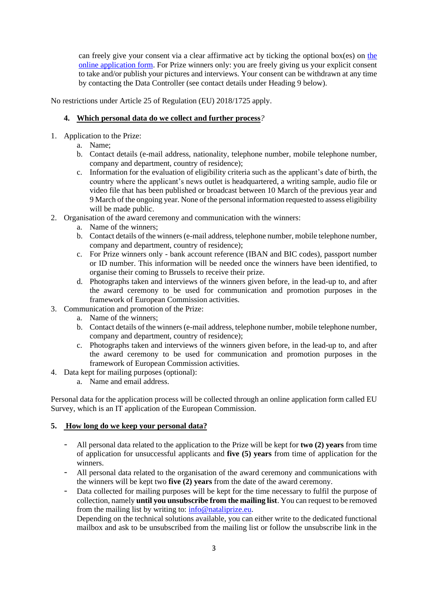can freely give your consent via a clear affirmative act by ticking [the](https://ec.europa.eu/eusurvey/runner/lnp2022-application-form) optional box(es) on the [online application](https://ec.europa.eu/eusurvey/runner/lnp2022-application-form) form. For Prize winners only: you are freely giving us your explicit consent to take and/or publish your pictures and interviews. Your consent can be withdrawn at any time by contacting the Data Controller (see contact details under Heading 9 below).

No restrictions under Article 25 of Regulation (EU) 2018/1725 apply.

## **4. Which personal data do we collect and further process***?*

- 1. Application to the Prize:
	- a. Name;
	- b. Contact details (e-mail address, nationality, telephone number, mobile telephone number, company and department, country of residence);
	- c. Information for the evaluation of eligibility criteria such as the applicant's date of birth, the country where the applicant's news outlet is headquartered, a writing sample, audio file or video file that has been published or broadcast between 10 March of the previous year and 9 March of the ongoing year. None of the personal information requested to assess eligibility will be made public.
- 2. Organisation of the award ceremony and communication with the winners:
	- a. Name of the winners;
	- b. Contact details of the winners (e-mail address, telephone number, mobile telephone number, company and department, country of residence);
	- c. For Prize winners only bank account reference (IBAN and BIC codes), passport number or ID number. This information will be needed once the winners have been identified, to organise their coming to Brussels to receive their prize.
	- d. Photographs taken and interviews of the winners given before, in the lead-up to, and after the award ceremony to be used for communication and promotion purposes in the framework of European Commission activities.
- 3. Communication and promotion of the Prize:
	- a. Name of the winners;
	- b. Contact details of the winners (e-mail address, telephone number, mobile telephone number, company and department, country of residence);
	- c. Photographs taken and interviews of the winners given before, in the lead-up to, and after the award ceremony to be used for communication and promotion purposes in the framework of European Commission activities.
- 4. Data kept for mailing purposes (optional):
	- a. Name and email address.

Personal data for the application process will be collected through an online application form called EU Survey, which is an IT application of the European Commission.

## **5. How long do we keep your personal data?**

- All personal data related to the application to the Prize will be kept for **two (2) years** from time of application for unsuccessful applicants and **five (5) years** from time of application for the winners.
- All personal data related to the organisation of the award ceremony and communications with the winners will be kept two **five (2) years** from the date of the award ceremony.
- Data collected for mailing purposes will be kept for the time necessary to fulfil the purpose of collection, namely **until you unsubscribe from the mailing list**. You can request to be removed from the mailing list by writing to: [info@nataliprize.eu.](mailto:info@nataliprize.eu)

Depending on the technical solutions available, you can either write to the dedicated functional mailbox and ask to be unsubscribed from the mailing list or follow the unsubscribe link in the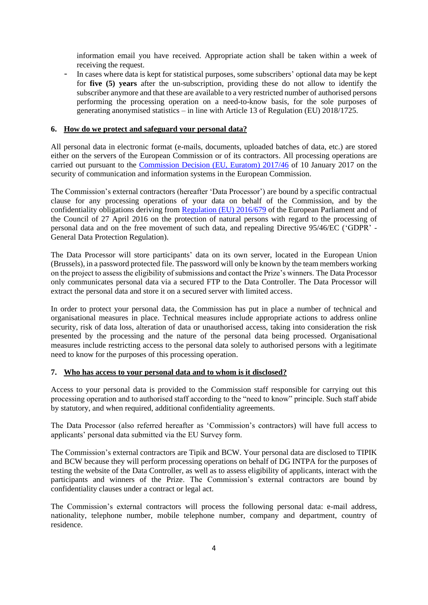information email you have received. Appropriate action shall be taken within a week of receiving the request.

- In cases where data is kept for statistical purposes, some subscribers' optional data may be kept for **five (5) years** after the un-subscription, providing these do not allow to identify the subscriber anymore and that these are available to a very restricted number of authorised persons performing the processing operation on a need-to-know basis, for the sole purposes of generating anonymised statistics – in line with Article 13 of Regulation (EU) 2018/1725.

### **6. How do we protect and safeguard your personal data?**

All personal data in electronic format (e-mails, documents, uploaded batches of data, etc.) are stored either on the servers of the European Commission or of its contractors. All processing operations are carried out pursuant to the [Commission Decision \(EU, Euratom\) 2017/46](https://eur-lex.europa.eu/legal-content/EN/TXT/?qid=1548093747090&uri=CELEX:32017D0046) of 10 January 2017 on the security of communication and information systems in the European Commission.

The Commission's external contractors (hereafter 'Data Processor') are bound by a specific contractual clause for any processing operations of your data on behalf of the Commission, and by the confidentiality obligations deriving from [Regulation \(EU\) 2016/679](https://eur-lex.europa.eu/legal-content/EN/TXT/?uri=celex%3A32016R0679) of the European Parliament and of the Council of 27 April 2016 on the protection of natural persons with regard to the processing of personal data and on the free movement of such data, and repealing Directive 95/46/EC ('GDPR' - General Data Protection Regulation).

The Data Processor will store participants' data on its own server, located in the European Union (Brussels), in a password protected file. The password will only be known by the team members working on the project to assess the eligibility of submissions and contact the Prize's winners. The Data Processor only communicates personal data via a secured FTP to the Data Controller. The Data Processor will extract the personal data and store it on a secured server with limited access.

In order to protect your personal data, the Commission has put in place a number of technical and organisational measures in place. Technical measures include appropriate actions to address online security, risk of data loss, alteration of data or unauthorised access, taking into consideration the risk presented by the processing and the nature of the personal data being processed. Organisational measures include restricting access to the personal data solely to authorised persons with a legitimate need to know for the purposes of this processing operation.

### **7. Who has access to your personal data and to whom is it disclosed?**

Access to your personal data is provided to the Commission staff responsible for carrying out this processing operation and to authorised staff according to the "need to know" principle. Such staff abide by statutory, and when required, additional confidentiality agreements.

The Data Processor (also referred hereafter as 'Commission's contractors) will have full access to applicants' personal data submitted via the EU Survey form.

The Commission's external contractors are Tipik and BCW. Your personal data are disclosed to TIPIK and BCW because they will perform processing operations on behalf of DG INTPA for the purposes of testing the website of the Data Controller, as well as to assess eligibility of applicants, interact with the participants and winners of the Prize. The Commission's external contractors are bound by confidentiality clauses under a contract or legal act.

The Commission's external contractors will process the following personal data: e-mail address, nationality, telephone number, mobile telephone number, company and department, country of residence.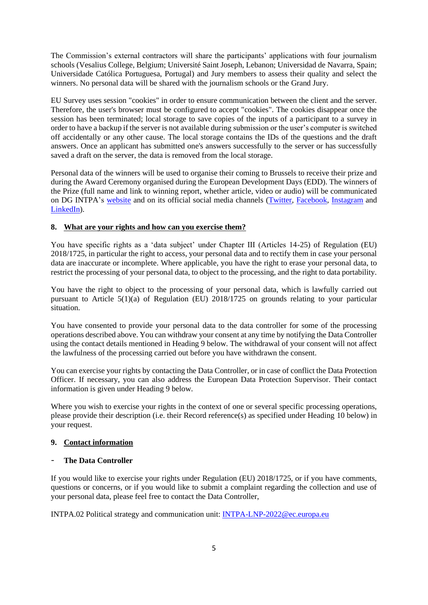The Commission's external contractors will share the participants' applications with four journalism schools (Vesalius College, Belgium; Université Saint Joseph, Lebanon; Universidad de Navarra, Spain; Universidade Católica Portuguesa, Portugal) and Jury members to assess their quality and select the winners. No personal data will be shared with the journalism schools or the Grand Jury.

EU Survey uses session "cookies" in order to ensure communication between the client and the server. Therefore, the user's browser must be configured to accept "cookies". The cookies disappear once the session has been terminated; local storage to save copies of the inputs of a participant to a survey in order to have a backup if the server is not available during submission or the user's computer is switched off accidentally or any other cause. The local storage contains the IDs of the questions and the draft answers. Once an applicant has submitted one's answers successfully to the server or has successfully saved a draft on the server, the data is removed from the local storage.

Personal data of the winners will be used to organise their coming to Brussels to receive their prize and during the Award Ceremony organised during the European Development Days (EDD). The winners of the Prize (full name and link to winning report, whether article, video or audio) will be communicated on DG INTPA's [website](https://ec.europa.eu/international-partnerships/lnp_en) and on its official social media channels [\(Twitter,](https://twitter.com/en/privacy) [Facebook,](https://www.facebook.com/about/privacy/previous) [Instagram](https://help.instagram.com/519522125107875/?maybe_redirect_pol=0) and [LinkedIn\)](https://www.linkedin.com/legal/privacy-policy).

## **8. What are your rights and how can you exercise them?**

You have specific rights as a 'data subject' under Chapter III (Articles 14-25) of Regulation (EU) 2018/1725, in particular the right to access, your personal data and to rectify them in case your personal data are inaccurate or incomplete. Where applicable, you have the right to erase your personal data, to restrict the processing of your personal data, to object to the processing, and the right to data portability.

You have the right to object to the processing of your personal data, which is lawfully carried out pursuant to Article 5(1)(a) of Regulation (EU) 2018/1725 on grounds relating to your particular situation.

You have consented to provide your personal data to the data controller for some of the processing operations described above. You can withdraw your consent at any time by notifying the Data Controller using the contact details mentioned in Heading 9 below. The withdrawal of your consent will not affect the lawfulness of the processing carried out before you have withdrawn the consent.

You can exercise your rights by contacting the Data Controller, or in case of conflict the Data Protection Officer. If necessary, you can also address the European Data Protection Supervisor. Their contact information is given under Heading 9 below.

Where you wish to exercise your rights in the context of one or several specific processing operations, please provide their description (i.e. their Record reference(s) as specified under Heading 10 below) in your request.

## **9. Contact information**

## - **The Data Controller**

If you would like to exercise your rights under Regulation (EU) 2018/1725, or if you have comments, questions or concerns, or if you would like to submit a complaint regarding the collection and use of your personal data, please feel free to contact the Data Controller,

INTPA.02 Political strategy and communication unit: [INTPA-LNP-2022@ec.europa.eu](mailto:INTPA-LNP-2022@ec.europa.eu)